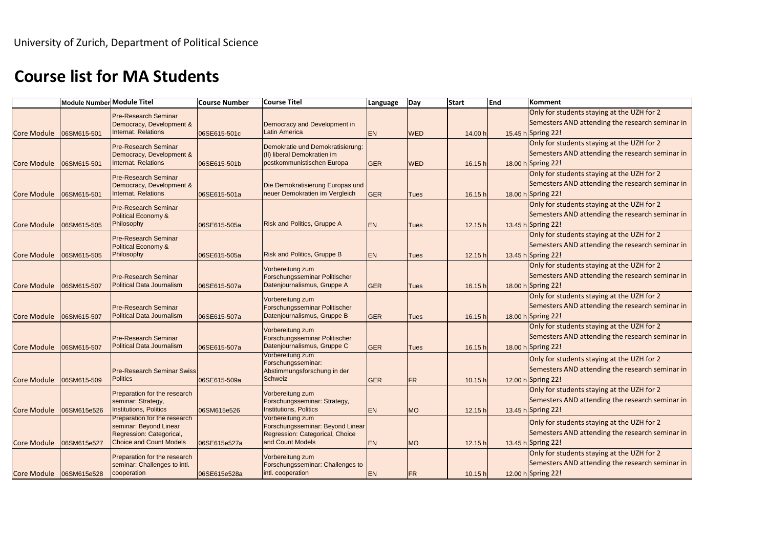## **Course list for MA Students**

|                    | Module Number Module Titel |                                                              | <b>Course Number</b> | <b>Course Titel</b>                                   | Language   | <b>Start</b><br>Day |         | End | Komment            |
|--------------------|----------------------------|--------------------------------------------------------------|----------------------|-------------------------------------------------------|------------|---------------------|---------|-----|--------------------|
|                    |                            | <b>Pre-Research Seminar</b>                                  |                      |                                                       |            |                     |         |     | Only for student   |
|                    |                            | Democracy, Development &                                     |                      | Democracy and Development in                          |            |                     |         |     | Semesters AND      |
| <b>Core Module</b> | 06SM615-501                | <b>Internat. Relations</b>                                   | 06SE615-501c         | <b>Latin America</b>                                  | <b>EN</b>  | <b>WED</b>          | 14.00 h |     | 15.45 h Spring 22! |
|                    |                            | <b>Pre-Research Seminar</b>                                  |                      | Demokratie und Demokratisierung:                      |            |                     |         |     | Only for student   |
|                    |                            | Democracy, Development &                                     |                      | (II) liberal Demokratien im                           |            |                     |         |     | Semesters AND      |
| <b>Core Module</b> | 06SM615-501                | <b>Internat. Relations</b>                                   | 06SE615-501b         | postkommunistischen Europa                            | <b>GER</b> | <b>WED</b>          | 16.15 h |     | 18.00 h Spring 22! |
|                    |                            | <b>Pre-Research Seminar</b>                                  |                      |                                                       |            |                     |         |     | Only for student   |
|                    |                            | Democracy, Development &                                     |                      | Die Demokratisierung Europas und                      |            |                     |         |     | Semesters AND      |
| Core Module        | 06SM615-501                | <b>Internat. Relations</b>                                   | 06SE615-501a         | neuer Demokratien im Vergleich                        | <b>GER</b> | <b>Tues</b>         | 16.15 h |     | 18.00 h Spring 22! |
|                    |                            | <b>Pre-Research Seminar</b>                                  |                      |                                                       |            |                     |         |     | Only for student   |
|                    |                            | <b>Political Economy &amp;</b>                               |                      |                                                       |            |                     |         |     | Semesters AND      |
| <b>Core Module</b> | 06SM615-505                | Philosophy                                                   | 06SE615-505a         | <b>Risk and Politics, Gruppe A</b>                    | <b>EN</b>  | <b>Tues</b>         | 12.15 h |     | 13.45 h Spring 22! |
|                    |                            | <b>Pre-Research Seminar</b>                                  |                      |                                                       |            | <b>Tues</b><br>Tues |         |     | Only for student   |
|                    |                            | <b>Political Economy &amp;</b>                               |                      |                                                       |            |                     |         |     | Semesters AND      |
| Core Module        | 06SM615-505                | Philosophy                                                   | 06SE615-505a         | <b>Risk and Politics, Gruppe B</b>                    | <b>EN</b>  |                     | 12.15 h |     | 13.45 h Spring 22! |
|                    |                            |                                                              |                      | Vorbereitung zum                                      |            |                     |         |     | Only for student   |
|                    |                            | <b>Pre-Research Seminar</b>                                  |                      | Forschungsseminar Politischer                         |            |                     |         |     | Semesters AND      |
| <b>Core Module</b> | 06SM615-507                | <b>Political Data Journalism</b>                             | 06SE615-507a         | Datenjournalismus, Gruppe A                           | <b>GER</b> |                     | 16.15 h |     | 18.00 h Spring 22! |
|                    |                            |                                                              |                      | Vorbereitung zum                                      |            |                     |         |     | Only for student   |
|                    |                            | <b>Pre-Research Seminar</b>                                  |                      | Forschungsseminar Politischer                         |            |                     |         |     | Semesters AND      |
| <b>Core Module</b> | 06SM615-507                | <b>Political Data Journalism</b>                             | 06SE615-507a         | Datenjournalismus, Gruppe B                           | <b>GER</b> | <b>Tues</b>         | 16.15 h |     | 18.00 h Spring 22! |
|                    |                            |                                                              |                      | Vorbereitung zum                                      |            |                     |         |     | Only for student   |
|                    |                            | <b>Pre-Research Seminar</b>                                  |                      | Forschungsseminar Politischer                         |            |                     |         |     | Semesters AND      |
| <b>Core Module</b> | 06SM615-507                | <b>Political Data Journalism</b>                             | 06SE615-507a         | Datenjournalismus, Gruppe C                           | <b>GER</b> | <b>Tues</b>         | 16.15 h |     | 18.00 h Spring 22! |
|                    |                            |                                                              |                      | Vorbereitung zum                                      |            |                     |         |     | Only for student   |
|                    |                            | <b>Pre-Research Seminar Swiss</b>                            |                      | Forschungsseminar:<br>Abstimmungsforschung in der     |            |                     |         |     | Semesters AND      |
| Core Module        | 06SM615-509                | <b>Politics</b>                                              | 06SE615-509a         | <b>Schweiz</b>                                        | <b>GER</b> | FR                  | 10.15 h |     | 12.00 h Spring 22! |
|                    |                            | Preparation for the research                                 |                      | Vorbereitung zum                                      |            |                     |         |     | Only for student   |
|                    |                            | seminar: Strategy,                                           |                      | Forschungsseminar: Strategy,                          |            |                     |         |     | Semesters AND      |
| Core Module        | 06SM615e526                | <b>Institutions, Politics</b>                                | 06SM615e526          | <b>Institutions, Politics</b>                         | <b>EN</b>  | <b>MO</b>           | 12.15 h |     | 13.45 h Spring 22! |
|                    |                            | Preparation for the research                                 |                      | Vorbereitung zum                                      |            |                     |         |     | Only for student   |
|                    |                            | seminar: Beyond Linear<br>Regression: Categorical,           |                      | Forschungsseminar: Beyond Linear                      |            |                     |         |     | Semesters AND      |
| Core Module        | 06SM615e527                | <b>Choice and Count Models</b>                               | 06SE615e527a         | Regression: Categorical, Choice<br>and Count Models   | <b>EN</b>  | <b>MO</b>           | 12.15 h |     | 13.45 h Spring 22! |
|                    |                            |                                                              |                      |                                                       |            |                     |         |     | Only for student   |
|                    |                            | Preparation for the research<br>seminar: Challenges to intl. |                      | Vorbereitung zum                                      |            |                     |         |     | Semesters AND      |
|                    | Core Module 06SM615e528    | cooperation                                                  | 06SE615e528a         | Forschungsseminar: Challenges to<br>intl. cooperation | <b>EN</b>  | <b>FR</b>           | 10.15 h |     | 12.00 h Spring 22! |
|                    |                            |                                                              |                      |                                                       |            |                     |         |     |                    |

ts staying at the UZH for 2 attending the research seminar in

ts staying at the UZH for 2 attending the research seminar in

ts staying at the UZH for 2 attending the research seminar in

ts staying at the UZH for 2 attending the research seminar in

ts staying at the UZH for 2 attending the research seminar in

ts staying at the UZH for 2 attending the research seminar in

ts staying at the UZH for 2 attending the research seminar in

ts staying at the UZH for 2 attending the research seminar in

ts staying at the UZH for 2 attending the research seminar in

ts staying at the UZH for 2 attending the research seminar in

ts staying at the UZH for 2 attending the research seminar in

ts staying at the UZH for 2 attending the research seminar in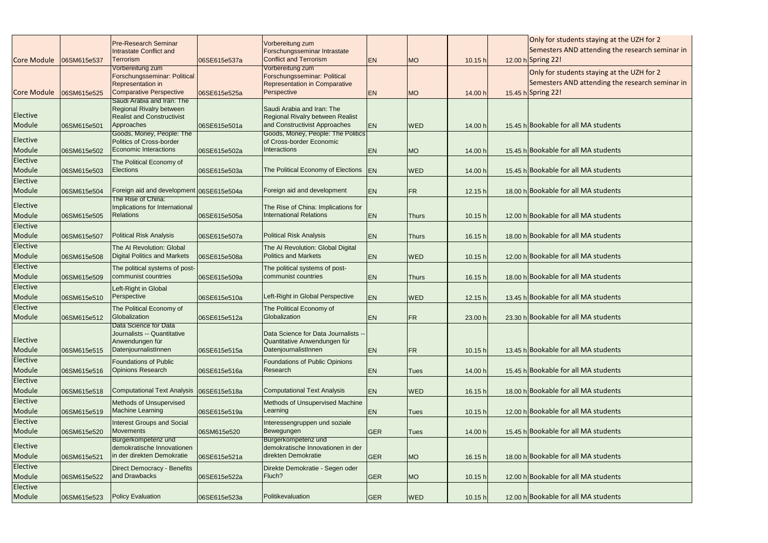| <b>Pre-Research Seminar</b><br>Vorbereitung zum<br>Semesters AND attending the research seminar in<br>Forschungsseminar Intrastate<br><b>Intrastate Conflict and</b><br>Conflict and Terrorism<br><b>Terrorism</b><br>EN<br>12.00 h Spring 22!<br>06SM615e537<br>06SE615e537a<br><b>MO</b><br>10.15 h<br>Vorbereitung zum<br>Vorbereitung zum<br>Only for students staying at the UZH for 2<br>Forschungsseminar: Political<br>Forschungsseminar: Political<br>Semesters AND attending the research seminar in<br>Representation in Comparative<br>Representation in<br><b>Comparative Perspective</b><br>Perspective<br><b>Core Module</b><br>15.45 h Spring 22!<br>06SM615e525<br>06SE615e525a<br>14.00 h<br><b>EN</b><br><b>MO</b><br>Saudi Arabia and Iran: The<br><b>Regional Rivalry between</b><br>Saudi Arabia and Iran: The<br>Elective<br><b>Realist and Constructivist</b><br>Regional Rivalry between Realist<br>and Constructivist Approaches<br>Approaches<br><b>EN</b><br>15.45 h Bookable for all MA students<br>Module<br>06SM615e501<br>06SE615e501a<br><b>WED</b><br>14.00 h<br>Goods, Money, People: The Politics<br>Goods, Money, People: The<br>Elective<br>Politics of Cross-border<br>of Cross-border Economic<br><b>Economic Interactions</b><br>Interactions<br>Module<br>15.45 h Bookable for all MA students<br><b>EN</b><br><b>MO</b><br>14.00 h<br>06SM615e502<br>06SE615e502a<br>Elective<br>The Political Economy of<br>The Political Economy of Elections EN<br><b>Elections</b><br>15.45 h Bookable for all MA students<br>Module<br><b>WED</b><br>06SM615e503<br>06SE615e503a<br>14.00 h<br>Elective<br>Foreign aid and development<br>Foreign aid and development 06SE615e504a<br>18.00 h Bookable for all MA students<br>Module<br><b>EN</b><br>FR<br>12.15 h<br>06SM615e504<br>The Rise of China:<br>Elective<br>Implications for International<br>The Rise of China: Implications for |  |  |  |  |                                            |
|------------------------------------------------------------------------------------------------------------------------------------------------------------------------------------------------------------------------------------------------------------------------------------------------------------------------------------------------------------------------------------------------------------------------------------------------------------------------------------------------------------------------------------------------------------------------------------------------------------------------------------------------------------------------------------------------------------------------------------------------------------------------------------------------------------------------------------------------------------------------------------------------------------------------------------------------------------------------------------------------------------------------------------------------------------------------------------------------------------------------------------------------------------------------------------------------------------------------------------------------------------------------------------------------------------------------------------------------------------------------------------------------------------------------------------------------------------------------------------------------------------------------------------------------------------------------------------------------------------------------------------------------------------------------------------------------------------------------------------------------------------------------------------------------------------------------------------------------------------------------------------------------------------------------------|--|--|--|--|--------------------------------------------|
| <b>Core Module</b>                                                                                                                                                                                                                                                                                                                                                                                                                                                                                                                                                                                                                                                                                                                                                                                                                                                                                                                                                                                                                                                                                                                                                                                                                                                                                                                                                                                                                                                                                                                                                                                                                                                                                                                                                                                                                                                                                                           |  |  |  |  | Only for students staying at the UZH for 2 |
|                                                                                                                                                                                                                                                                                                                                                                                                                                                                                                                                                                                                                                                                                                                                                                                                                                                                                                                                                                                                                                                                                                                                                                                                                                                                                                                                                                                                                                                                                                                                                                                                                                                                                                                                                                                                                                                                                                                              |  |  |  |  |                                            |
|                                                                                                                                                                                                                                                                                                                                                                                                                                                                                                                                                                                                                                                                                                                                                                                                                                                                                                                                                                                                                                                                                                                                                                                                                                                                                                                                                                                                                                                                                                                                                                                                                                                                                                                                                                                                                                                                                                                              |  |  |  |  |                                            |
|                                                                                                                                                                                                                                                                                                                                                                                                                                                                                                                                                                                                                                                                                                                                                                                                                                                                                                                                                                                                                                                                                                                                                                                                                                                                                                                                                                                                                                                                                                                                                                                                                                                                                                                                                                                                                                                                                                                              |  |  |  |  |                                            |
|                                                                                                                                                                                                                                                                                                                                                                                                                                                                                                                                                                                                                                                                                                                                                                                                                                                                                                                                                                                                                                                                                                                                                                                                                                                                                                                                                                                                                                                                                                                                                                                                                                                                                                                                                                                                                                                                                                                              |  |  |  |  |                                            |
|                                                                                                                                                                                                                                                                                                                                                                                                                                                                                                                                                                                                                                                                                                                                                                                                                                                                                                                                                                                                                                                                                                                                                                                                                                                                                                                                                                                                                                                                                                                                                                                                                                                                                                                                                                                                                                                                                                                              |  |  |  |  |                                            |
|                                                                                                                                                                                                                                                                                                                                                                                                                                                                                                                                                                                                                                                                                                                                                                                                                                                                                                                                                                                                                                                                                                                                                                                                                                                                                                                                                                                                                                                                                                                                                                                                                                                                                                                                                                                                                                                                                                                              |  |  |  |  |                                            |
|                                                                                                                                                                                                                                                                                                                                                                                                                                                                                                                                                                                                                                                                                                                                                                                                                                                                                                                                                                                                                                                                                                                                                                                                                                                                                                                                                                                                                                                                                                                                                                                                                                                                                                                                                                                                                                                                                                                              |  |  |  |  |                                            |
|                                                                                                                                                                                                                                                                                                                                                                                                                                                                                                                                                                                                                                                                                                                                                                                                                                                                                                                                                                                                                                                                                                                                                                                                                                                                                                                                                                                                                                                                                                                                                                                                                                                                                                                                                                                                                                                                                                                              |  |  |  |  |                                            |
|                                                                                                                                                                                                                                                                                                                                                                                                                                                                                                                                                                                                                                                                                                                                                                                                                                                                                                                                                                                                                                                                                                                                                                                                                                                                                                                                                                                                                                                                                                                                                                                                                                                                                                                                                                                                                                                                                                                              |  |  |  |  |                                            |
|                                                                                                                                                                                                                                                                                                                                                                                                                                                                                                                                                                                                                                                                                                                                                                                                                                                                                                                                                                                                                                                                                                                                                                                                                                                                                                                                                                                                                                                                                                                                                                                                                                                                                                                                                                                                                                                                                                                              |  |  |  |  |                                            |
|                                                                                                                                                                                                                                                                                                                                                                                                                                                                                                                                                                                                                                                                                                                                                                                                                                                                                                                                                                                                                                                                                                                                                                                                                                                                                                                                                                                                                                                                                                                                                                                                                                                                                                                                                                                                                                                                                                                              |  |  |  |  |                                            |
|                                                                                                                                                                                                                                                                                                                                                                                                                                                                                                                                                                                                                                                                                                                                                                                                                                                                                                                                                                                                                                                                                                                                                                                                                                                                                                                                                                                                                                                                                                                                                                                                                                                                                                                                                                                                                                                                                                                              |  |  |  |  |                                            |
|                                                                                                                                                                                                                                                                                                                                                                                                                                                                                                                                                                                                                                                                                                                                                                                                                                                                                                                                                                                                                                                                                                                                                                                                                                                                                                                                                                                                                                                                                                                                                                                                                                                                                                                                                                                                                                                                                                                              |  |  |  |  |                                            |
|                                                                                                                                                                                                                                                                                                                                                                                                                                                                                                                                                                                                                                                                                                                                                                                                                                                                                                                                                                                                                                                                                                                                                                                                                                                                                                                                                                                                                                                                                                                                                                                                                                                                                                                                                                                                                                                                                                                              |  |  |  |  |                                            |
|                                                                                                                                                                                                                                                                                                                                                                                                                                                                                                                                                                                                                                                                                                                                                                                                                                                                                                                                                                                                                                                                                                                                                                                                                                                                                                                                                                                                                                                                                                                                                                                                                                                                                                                                                                                                                                                                                                                              |  |  |  |  |                                            |
|                                                                                                                                                                                                                                                                                                                                                                                                                                                                                                                                                                                                                                                                                                                                                                                                                                                                                                                                                                                                                                                                                                                                                                                                                                                                                                                                                                                                                                                                                                                                                                                                                                                                                                                                                                                                                                                                                                                              |  |  |  |  |                                            |
|                                                                                                                                                                                                                                                                                                                                                                                                                                                                                                                                                                                                                                                                                                                                                                                                                                                                                                                                                                                                                                                                                                                                                                                                                                                                                                                                                                                                                                                                                                                                                                                                                                                                                                                                                                                                                                                                                                                              |  |  |  |  |                                            |
|                                                                                                                                                                                                                                                                                                                                                                                                                                                                                                                                                                                                                                                                                                                                                                                                                                                                                                                                                                                                                                                                                                                                                                                                                                                                                                                                                                                                                                                                                                                                                                                                                                                                                                                                                                                                                                                                                                                              |  |  |  |  |                                            |
| <b>International Relations</b><br>Module<br>12.00 h Bookable for all MA students<br><b>Relations</b><br>EN<br>06SM615e505<br>06SE615e505a<br>10.15 h<br><b>Thurs</b>                                                                                                                                                                                                                                                                                                                                                                                                                                                                                                                                                                                                                                                                                                                                                                                                                                                                                                                                                                                                                                                                                                                                                                                                                                                                                                                                                                                                                                                                                                                                                                                                                                                                                                                                                         |  |  |  |  |                                            |
| Elective                                                                                                                                                                                                                                                                                                                                                                                                                                                                                                                                                                                                                                                                                                                                                                                                                                                                                                                                                                                                                                                                                                                                                                                                                                                                                                                                                                                                                                                                                                                                                                                                                                                                                                                                                                                                                                                                                                                     |  |  |  |  |                                            |
| <b>Political Risk Analysis</b><br><b>Political Risk Analysis</b><br>Module<br>18.00 h Bookable for all MA students                                                                                                                                                                                                                                                                                                                                                                                                                                                                                                                                                                                                                                                                                                                                                                                                                                                                                                                                                                                                                                                                                                                                                                                                                                                                                                                                                                                                                                                                                                                                                                                                                                                                                                                                                                                                           |  |  |  |  |                                            |
| <b>EN</b><br>06SM615e507<br>06SE615e507a<br>16.15 h<br><b>Thurs</b>                                                                                                                                                                                                                                                                                                                                                                                                                                                                                                                                                                                                                                                                                                                                                                                                                                                                                                                                                                                                                                                                                                                                                                                                                                                                                                                                                                                                                                                                                                                                                                                                                                                                                                                                                                                                                                                          |  |  |  |  |                                            |
| Elective<br>The AI Revolution: Global<br>The AI Revolution: Global Digital                                                                                                                                                                                                                                                                                                                                                                                                                                                                                                                                                                                                                                                                                                                                                                                                                                                                                                                                                                                                                                                                                                                                                                                                                                                                                                                                                                                                                                                                                                                                                                                                                                                                                                                                                                                                                                                   |  |  |  |  |                                            |
| <b>Politics and Markets</b><br><b>Digital Politics and Markets</b><br>12.00 h Bookable for all MA students<br>Module<br><b>EN</b><br><b>WED</b><br>06SM615e508<br>06SE615e508a<br>10.15 h                                                                                                                                                                                                                                                                                                                                                                                                                                                                                                                                                                                                                                                                                                                                                                                                                                                                                                                                                                                                                                                                                                                                                                                                                                                                                                                                                                                                                                                                                                                                                                                                                                                                                                                                    |  |  |  |  |                                            |
| Elective<br>The political systems of post-<br>The political systems of post-                                                                                                                                                                                                                                                                                                                                                                                                                                                                                                                                                                                                                                                                                                                                                                                                                                                                                                                                                                                                                                                                                                                                                                                                                                                                                                                                                                                                                                                                                                                                                                                                                                                                                                                                                                                                                                                 |  |  |  |  |                                            |
| communist countries<br>communist countries<br>18.00 h Bookable for all MA students<br>Module<br>06SM615e509<br><b>EN</b><br>06SE615e509a<br>16.15 h<br><b>Thurs</b>                                                                                                                                                                                                                                                                                                                                                                                                                                                                                                                                                                                                                                                                                                                                                                                                                                                                                                                                                                                                                                                                                                                                                                                                                                                                                                                                                                                                                                                                                                                                                                                                                                                                                                                                                          |  |  |  |  |                                            |
| Elective<br>Left-Right in Global                                                                                                                                                                                                                                                                                                                                                                                                                                                                                                                                                                                                                                                                                                                                                                                                                                                                                                                                                                                                                                                                                                                                                                                                                                                                                                                                                                                                                                                                                                                                                                                                                                                                                                                                                                                                                                                                                             |  |  |  |  |                                            |
| Left-Right in Global Perspective<br>Perspective<br>Module<br>13.45 h Bookable for all MA students<br><b>EN</b><br><b>WED</b><br>06SM615e510<br>06SE615e510a<br>12.15 h                                                                                                                                                                                                                                                                                                                                                                                                                                                                                                                                                                                                                                                                                                                                                                                                                                                                                                                                                                                                                                                                                                                                                                                                                                                                                                                                                                                                                                                                                                                                                                                                                                                                                                                                                       |  |  |  |  |                                            |
| Elective<br>The Political Economy of<br>The Political Economy of                                                                                                                                                                                                                                                                                                                                                                                                                                                                                                                                                                                                                                                                                                                                                                                                                                                                                                                                                                                                                                                                                                                                                                                                                                                                                                                                                                                                                                                                                                                                                                                                                                                                                                                                                                                                                                                             |  |  |  |  |                                            |
| Globalization<br>Globalization<br>Module<br>23.30 h Bookable for all MA students<br>06SM615e512<br>06SE615e512a<br><b>IEN</b><br><b>IFR</b><br>23.00 h                                                                                                                                                                                                                                                                                                                                                                                                                                                                                                                                                                                                                                                                                                                                                                                                                                                                                                                                                                                                                                                                                                                                                                                                                                                                                                                                                                                                                                                                                                                                                                                                                                                                                                                                                                       |  |  |  |  |                                            |
| Data Science for Data                                                                                                                                                                                                                                                                                                                                                                                                                                                                                                                                                                                                                                                                                                                                                                                                                                                                                                                                                                                                                                                                                                                                                                                                                                                                                                                                                                                                                                                                                                                                                                                                                                                                                                                                                                                                                                                                                                        |  |  |  |  |                                            |
| Journalists -- Quantitative<br>Data Science for Data Journalists --                                                                                                                                                                                                                                                                                                                                                                                                                                                                                                                                                                                                                                                                                                                                                                                                                                                                                                                                                                                                                                                                                                                                                                                                                                                                                                                                                                                                                                                                                                                                                                                                                                                                                                                                                                                                                                                          |  |  |  |  |                                            |
| Elective<br>Anwendungen für<br>Quantitative Anwendungen für                                                                                                                                                                                                                                                                                                                                                                                                                                                                                                                                                                                                                                                                                                                                                                                                                                                                                                                                                                                                                                                                                                                                                                                                                                                                                                                                                                                                                                                                                                                                                                                                                                                                                                                                                                                                                                                                  |  |  |  |  |                                            |
| DatenjournalistInnen<br>DatenjournalistInnen<br>Module<br>13.45 h Bookable for all MA students<br><b>EN</b><br><b>FR</b><br>10.15 h<br>06SM615e515<br>06SE615e515a                                                                                                                                                                                                                                                                                                                                                                                                                                                                                                                                                                                                                                                                                                                                                                                                                                                                                                                                                                                                                                                                                                                                                                                                                                                                                                                                                                                                                                                                                                                                                                                                                                                                                                                                                           |  |  |  |  |                                            |
| Elective<br><b>Foundations of Public</b><br><b>Foundations of Public Opinions</b>                                                                                                                                                                                                                                                                                                                                                                                                                                                                                                                                                                                                                                                                                                                                                                                                                                                                                                                                                                                                                                                                                                                                                                                                                                                                                                                                                                                                                                                                                                                                                                                                                                                                                                                                                                                                                                            |  |  |  |  |                                            |
| <b>Opinions Research</b><br>Research<br>Module<br>15.45 h Bookable for all MA students<br>06SM615e516<br>06SE615e516a<br><b>EN</b><br>14.00 h<br><b>Tues</b>                                                                                                                                                                                                                                                                                                                                                                                                                                                                                                                                                                                                                                                                                                                                                                                                                                                                                                                                                                                                                                                                                                                                                                                                                                                                                                                                                                                                                                                                                                                                                                                                                                                                                                                                                                 |  |  |  |  |                                            |
| Elective                                                                                                                                                                                                                                                                                                                                                                                                                                                                                                                                                                                                                                                                                                                                                                                                                                                                                                                                                                                                                                                                                                                                                                                                                                                                                                                                                                                                                                                                                                                                                                                                                                                                                                                                                                                                                                                                                                                     |  |  |  |  |                                            |
| <b>Computational Text Analysis</b><br>Computational Text Analysis<br>18.00 h Bookable for all MA students<br>Module                                                                                                                                                                                                                                                                                                                                                                                                                                                                                                                                                                                                                                                                                                                                                                                                                                                                                                                                                                                                                                                                                                                                                                                                                                                                                                                                                                                                                                                                                                                                                                                                                                                                                                                                                                                                          |  |  |  |  |                                            |
| 06SE615e518a<br><b>EN</b><br>06SM615e518<br><b>WED</b><br>16.15 h                                                                                                                                                                                                                                                                                                                                                                                                                                                                                                                                                                                                                                                                                                                                                                                                                                                                                                                                                                                                                                                                                                                                                                                                                                                                                                                                                                                                                                                                                                                                                                                                                                                                                                                                                                                                                                                            |  |  |  |  |                                            |
| Elective<br>Methods of Unsupervised<br>Methods of Unsupervised Machine                                                                                                                                                                                                                                                                                                                                                                                                                                                                                                                                                                                                                                                                                                                                                                                                                                                                                                                                                                                                                                                                                                                                                                                                                                                                                                                                                                                                                                                                                                                                                                                                                                                                                                                                                                                                                                                       |  |  |  |  |                                            |
| <b>Machine Learning</b><br>Learning<br>12.00 h Bookable for all MA students<br>Module<br>06SM615e519<br>06SE615e519a<br><b>EN</b><br>10.15 h<br><b>Tues</b>                                                                                                                                                                                                                                                                                                                                                                                                                                                                                                                                                                                                                                                                                                                                                                                                                                                                                                                                                                                                                                                                                                                                                                                                                                                                                                                                                                                                                                                                                                                                                                                                                                                                                                                                                                  |  |  |  |  |                                            |
| Elective<br><b>Interest Groups and Social</b><br>Interessengruppen und soziale                                                                                                                                                                                                                                                                                                                                                                                                                                                                                                                                                                                                                                                                                                                                                                                                                                                                                                                                                                                                                                                                                                                                                                                                                                                                                                                                                                                                                                                                                                                                                                                                                                                                                                                                                                                                                                               |  |  |  |  |                                            |
| <b>Movements</b><br>Module<br>Bewegungen<br>15.45 h Bookable for all MA students<br>GER<br>06SM615e520<br>06SM615e520<br>14.00 h<br><b>Tues</b>                                                                                                                                                                                                                                                                                                                                                                                                                                                                                                                                                                                                                                                                                                                                                                                                                                                                                                                                                                                                                                                                                                                                                                                                                                                                                                                                                                                                                                                                                                                                                                                                                                                                                                                                                                              |  |  |  |  |                                            |
| Bürgerkompetenz und<br>Bürgerkompetenz und                                                                                                                                                                                                                                                                                                                                                                                                                                                                                                                                                                                                                                                                                                                                                                                                                                                                                                                                                                                                                                                                                                                                                                                                                                                                                                                                                                                                                                                                                                                                                                                                                                                                                                                                                                                                                                                                                   |  |  |  |  |                                            |
| Elective<br>demokratische Innovationen<br>demokratische Innovationen in der                                                                                                                                                                                                                                                                                                                                                                                                                                                                                                                                                                                                                                                                                                                                                                                                                                                                                                                                                                                                                                                                                                                                                                                                                                                                                                                                                                                                                                                                                                                                                                                                                                                                                                                                                                                                                                                  |  |  |  |  |                                            |
| in der direkten Demokratie<br>direkten Demokratie<br>Module<br>18.00 h Bookable for all MA students<br>GER<br>06SE615e521a<br><b>MO</b><br>16.15 h<br>06SM615e521                                                                                                                                                                                                                                                                                                                                                                                                                                                                                                                                                                                                                                                                                                                                                                                                                                                                                                                                                                                                                                                                                                                                                                                                                                                                                                                                                                                                                                                                                                                                                                                                                                                                                                                                                            |  |  |  |  |                                            |
| Elective<br><b>Direct Democracy - Benefits</b><br>Direkte Demokratie - Segen oder                                                                                                                                                                                                                                                                                                                                                                                                                                                                                                                                                                                                                                                                                                                                                                                                                                                                                                                                                                                                                                                                                                                                                                                                                                                                                                                                                                                                                                                                                                                                                                                                                                                                                                                                                                                                                                            |  |  |  |  |                                            |
| and Drawbacks<br>Fluch?<br>12.00 h Bookable for all MA students<br>Module<br><b>GER</b><br><b>MO</b><br>06SM615e522<br>06SE615e522a<br>10.15 h                                                                                                                                                                                                                                                                                                                                                                                                                                                                                                                                                                                                                                                                                                                                                                                                                                                                                                                                                                                                                                                                                                                                                                                                                                                                                                                                                                                                                                                                                                                                                                                                                                                                                                                                                                               |  |  |  |  |                                            |
| Elective                                                                                                                                                                                                                                                                                                                                                                                                                                                                                                                                                                                                                                                                                                                                                                                                                                                                                                                                                                                                                                                                                                                                                                                                                                                                                                                                                                                                                                                                                                                                                                                                                                                                                                                                                                                                                                                                                                                     |  |  |  |  |                                            |
| <b>Policy Evaluation</b><br>Politikevaluation<br>12.00 h Bookable for all MA students<br>Module<br>GER<br><b>WED</b><br>06SM615e523<br>10.15 h<br>06SE615e523a                                                                                                                                                                                                                                                                                                                                                                                                                                                                                                                                                                                                                                                                                                                                                                                                                                                                                                                                                                                                                                                                                                                                                                                                                                                                                                                                                                                                                                                                                                                                                                                                                                                                                                                                                               |  |  |  |  |                                            |